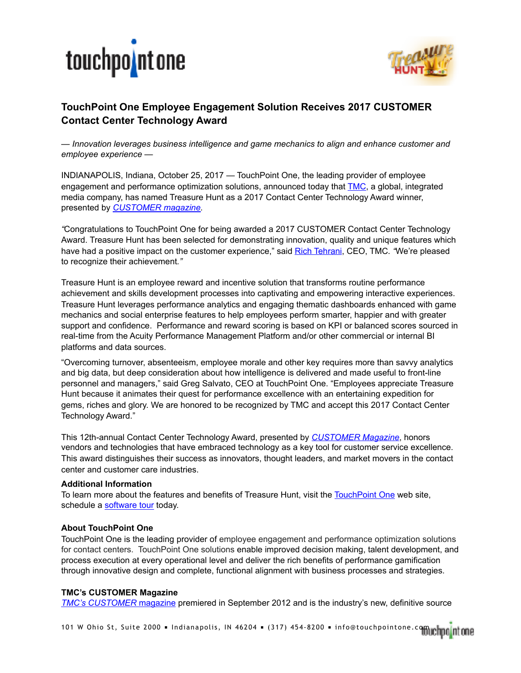



## **TouchPoint One Employee Engagement Solution Receives 2017 CUSTOMER Contact Center Technology Award**

*— Innovation leverages business intelligence and game mechanics to align and enhance customer and employee experience —* 

INDIANAPOLIS, Indiana, October 25, 2017 — TouchPoint One, the leading provider of employee engagement and performance optimization solutions, announced today that [TMC](http://www.tmcnet.com/), a global, integrated media company, has named Treasure Hunt as a 2017 Contact Center Technology Award winner, presented by *[CUSTOMER magazine.](http://customer.tmcnet.com/)* 

*"*Congratulations to TouchPoint One for being awarded a 2017 CUSTOMER Contact Center Technology Award. Treasure Hunt has been selected for demonstrating innovation, quality and unique features which have had a positive impact on the customer experience," said [Rich Tehrani,](http://blog.tmcnet.com/blog/rich-tehrani/) CEO, TMC*. "*We're pleased to recognize their achievement*."*

Treasure Hunt is an employee reward and incentive solution that transforms routine performance achievement and skills development processes into captivating and empowering interactive experiences. Treasure Hunt leverages performance analytics and engaging thematic dashboards enhanced with game mechanics and social enterprise features to help employees perform smarter, happier and with greater support and confidence. Performance and reward scoring is based on KPI or balanced scores sourced in real-time from the Acuity Performance Management Platform and/or other commercial or internal BI platforms and data sources.

"Overcoming turnover, absenteeism, employee morale and other key requires more than savvy analytics and big data, but deep consideration about how intelligence is delivered and made useful to front-line personnel and managers," said Greg Salvato, CEO at TouchPoint One. "Employees appreciate Treasure Hunt because it animates their quest for performance excellence with an entertaining expedition for gems, riches and glory. We are honored to be recognized by TMC and accept this 2017 Contact Center Technology Award."

This 12th-annual Contact Center Technology Award, presented by *[CUSTOMER Magazine](http://www.customerzone360.com/)*, honors vendors and technologies that have embraced technology as a key tool for customer service excellence. This award distinguishes their success as innovators, thought leaders, and market movers in the contact center and customer care industries.

## **Additional Information**

To learn more about the features and benefits of Treasure Hunt, visit the [TouchPoint One](http://www.touchpointone.com/product_treasure.html) web site, schedule a [software tour](http://www.touchpointone.com/resources_schedule.html) today.

## **About TouchPoint One**

TouchPoint One is the leading provider of employee engagement and performance optimization solutions for contact centers. TouchPoint One solutions enable improved decision making, talent development, and process execution at every operational level and deliver the rich benefits of performance gamification through innovative design and complete, functional alignment with business processes and strategies.

## **TMC's CUSTOMER Magazine**

*[TMC's CUSTOMER](http://CUSTOMER.TMCnet.com)* magazine premiered in September 2012 and is the industry's new, definitive source